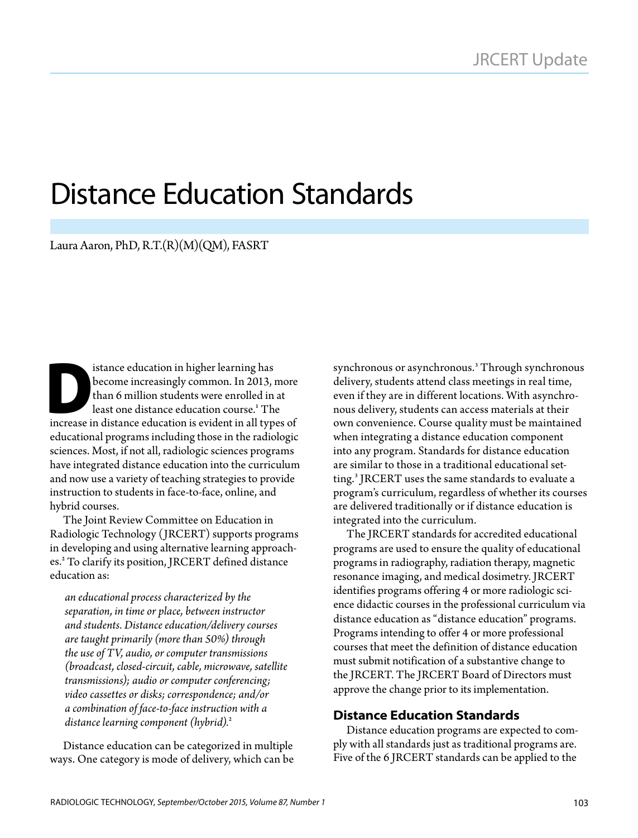# Distance Education Standards

Laura Aaron, PhD, R.T.(R)(M)(QM), FASRT

istance education in higher learning has<br>become increasingly common. In 2013, it han 6 million students were enrolled in<br>least one distance education course.' The<br>increase in distance education is evident in all type become increasingly common. In 2013, more than 6 million students were enrolled in at least one distance education course.<sup>1</sup> The increase in distance education is evident in all types of educational programs including those in the radiologic sciences. Most, if not all, radiologic sciences programs have integrated distance education into the curriculum and now use a variety of teaching strategies to provide instruction to students in face-to-face, online, and hybrid courses.

The Joint Review Committee on Education in Radiologic Technology (JRCERT) supports programs in developing and using alternative learning approaches.<sup>2</sup> To clarify its position, JRCERT defined distance education as:

*an educational process characterized by the separation, in time or place, between instructor and students. Distance education/delivery courses are taught primarily (more than 50%) through the use of TV, audio, or computer transmissions (broadcast, closed-circuit, cable, microwave, satellite transmissions); audio or computer conferencing; video cassettes or disks; correspondence; and/or a combination of face-to-face instruction with a distance learning component (hybrid).*<sup>2</sup>

Distance education can be categorized in multiple ways. One category is mode of delivery, which can be

synchronous or asynchronous.<sup>3</sup> Through synchronous delivery, students attend class meetings in real time, even if they are in different locations. With asynchronous delivery, students can access materials at their own convenience. Course quality must be maintained when integrating a distance education component into any program. Standards for distance education are similar to those in a traditional educational setting.<sup>3</sup> JRCERT uses the same standards to evaluate a program's curriculum, regardless of whether its courses are delivered traditionally or if distance education is integrated into the curriculum.

The JRCERT standards for accredited educational programs are used to ensure the quality of educational programs in radiography, radiation therapy, magnetic resonance imaging, and medical dosimetry. JRCERT identifies programs offering 4 or more radiologic science didactic courses in the professional curriculum via distance education as "distance education" programs. Programs intending to offer 4 or more professional courses that meet the definition of distance education must submit notification of a substantive change to the JRCERT. The JRCERT Board of Directors must approve the change prior to its implementation.

#### **Distance Education Standards**

Distance education programs are expected to comply with all standards just as traditional programs are. Five of the 6 JRCERT standards can be applied to the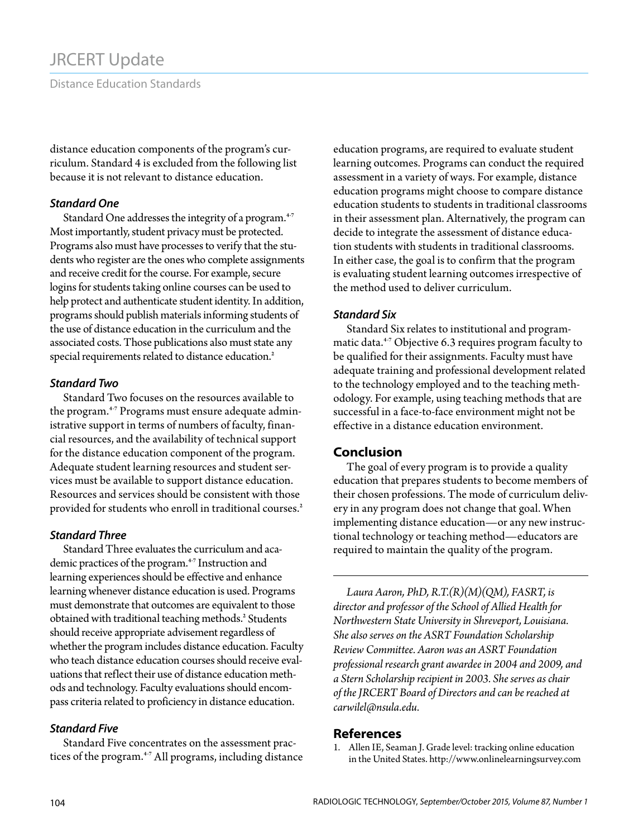### JRCERT Update

Distance Education Standards

distance education components of the program's curriculum. Standard 4 is excluded from the following list because it is not relevant to distance education.

#### *Standard One*

Standard One addresses the integrity of a program.<sup>4-7</sup> Most importantly, student privacy must be protected. Programs also must have processes to verify that the students who register are the ones who complete assignments and receive credit for the course. For example, secure logins for students taking online courses can be used to help protect and authenticate student identity. In addition, programs should publish materials informing students of the use of distance education in the curriculum and the associated costs. Those publications also must state any special requirements related to distance education.<sup>2</sup>

#### *Standard Two*

Standard Two focuses on the resources available to the program.<sup>4-7</sup> Programs must ensure adequate administrative support in terms of numbers of faculty, financial resources, and the availability of technical support for the distance education component of the program. Adequate student learning resources and student services must be available to support distance education. Resources and services should be consistent with those provided for students who enroll in traditional courses.<sup>2</sup>

#### *Standard Three*

Standard Three evaluates the curriculum and academic practices of the program.<sup>4-7</sup> Instruction and learning experiences should be effective and enhance learning whenever distance education is used. Programs must demonstrate that outcomes are equivalent to those obtained with traditional teaching methods.<sup>2</sup> Students should receive appropriate advisement regardless of whether the program includes distance education. Faculty who teach distance education courses should receive evaluations that reflect their use of distance education methods and technology. Faculty evaluations should encompass criteria related to proficiency in distance education.

#### *Standard Five*

Standard Five concentrates on the assessment practices of the program.<sup>4-7</sup> All programs, including distance education programs, are required to evaluate student learning outcomes. Programs can conduct the required assessment in a variety of ways. For example, distance education programs might choose to compare distance education students to students in traditional classrooms in their assessment plan. Alternatively, the program can decide to integrate the assessment of distance education students with students in traditional classrooms. In either case, the goal is to confirm that the program is evaluating student learning outcomes irrespective of the method used to deliver curriculum.

#### *Standard Six*

Standard Six relates to institutional and programmatic data.<sup>4-7</sup> Objective 6.3 requires program faculty to be qualified for their assignments. Faculty must have adequate training and professional development related to the technology employed and to the teaching methodology. For example, using teaching methods that are successful in a face-to-face environment might not be effective in a distance education environment.

#### **Conclusion**

The goal of every program is to provide a quality education that prepares students to become members of their chosen professions. The mode of curriculum delivery in any program does not change that goal. When implementing distance education—or any new instructional technology or teaching method—educators are required to maintain the quality of the program.

*Laura Aaron, PhD, R.T.(R)(M)(QM), FASRT, is director and professor of the School of Allied Health for Northwestern State University in Shreveport, Louisiana. She also serves on the ASRT Foundation Scholarship Review Committee. Aaron was an ASRT Foundation professional research grant awardee in 2004 and 2009, and a Stern Scholarship recipient in 2003. She serves as chair of the JRCERT Board of Directors and can be reached at [carwilel@nsula.edu.](mailto:carwilel%40nsula.edu?subject=)* 

#### **References**

1. Allen IE, Seaman J. Grade level: tracking online education in the United States. http://www.onlinelearningsurvey.com